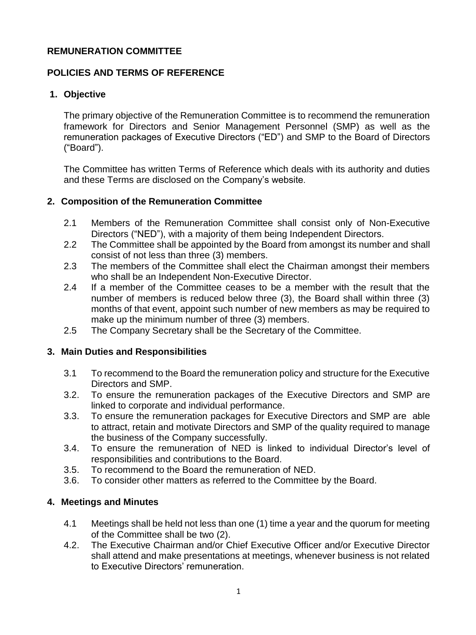### **REMUNERATION COMMITTEE**

# **POLICIES AND TERMS OF REFERENCE**

# **1. Objective**

The primary objective of the Remuneration Committee is to recommend the remuneration framework for Directors and Senior Management Personnel (SMP) as well as the remuneration packages of Executive Directors ("ED") and SMP to the Board of Directors ("Board").

The Committee has written Terms of Reference which deals with its authority and duties and these Terms are disclosed on the Company's website.

## **2. Composition of the Remuneration Committee**

- 2.1 Members of the Remuneration Committee shall consist only of Non-Executive Directors ("NED"), with a majority of them being Independent Directors.
- 2.2 The Committee shall be appointed by the Board from amongst its number and shall consist of not less than three (3) members.
- 2.3 The members of the Committee shall elect the Chairman amongst their members who shall be an Independent Non-Executive Director.
- 2.4 If a member of the Committee ceases to be a member with the result that the number of members is reduced below three (3), the Board shall within three (3) months of that event, appoint such number of new members as may be required to make up the minimum number of three (3) members.
- 2.5 The Company Secretary shall be the Secretary of the Committee.

### **3. Main Duties and Responsibilities**

- 3.1 To recommend to the Board the remuneration policy and structure for the Executive Directors and SMP.
- 3.2. To ensure the remuneration packages of the Executive Directors and SMP are linked to corporate and individual performance.
- 3.3. To ensure the remuneration packages for Executive Directors and SMP are able to attract, retain and motivate Directors and SMP of the quality required to manage the business of the Company successfully.
- 3.4. To ensure the remuneration of NED is linked to individual Director's level of responsibilities and contributions to the Board.
- 3.5. To recommend to the Board the remuneration of NED.
- 3.6. To consider other matters as referred to the Committee by the Board.

# **4. Meetings and Minutes**

- 4.1 Meetings shall be held not less than one (1) time a year and the quorum for meeting of the Committee shall be two (2).
- 4.2. The Executive Chairman and/or Chief Executive Officer and/or Executive Director shall attend and make presentations at meetings, whenever business is not related to Executive Directors' remuneration.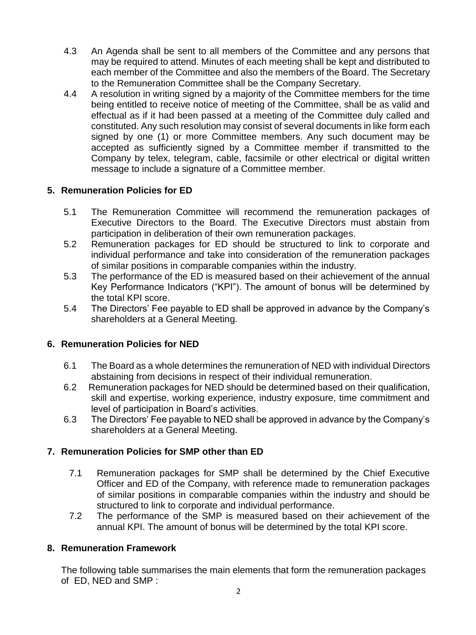- 4.3 An Agenda shall be sent to all members of the Committee and any persons that may be required to attend. Minutes of each meeting shall be kept and distributed to each member of the Committee and also the members of the Board. The Secretary to the Remuneration Committee shall be the Company Secretary.
- 4.4 A resolution in writing signed by a majority of the Committee members for the time being entitled to receive notice of meeting of the Committee, shall be as valid and effectual as if it had been passed at a meeting of the Committee duly called and constituted. Any such resolution may consist of several documents in like form each signed by one (1) or more Committee members. Any such document may be accepted as sufficiently signed by a Committee member if transmitted to the Company by telex, telegram, cable, facsimile or other electrical or digital written message to include a signature of a Committee member.

### **5. Remuneration Policies for ED**

- 5.1 The Remuneration Committee will recommend the remuneration packages of Executive Directors to the Board. The Executive Directors must abstain from participation in deliberation of their own remuneration packages.
- 5.2 Remuneration packages for ED should be structured to link to corporate and individual performance and take into consideration of the remuneration packages of similar positions in comparable companies within the industry.
- 5.3 The performance of the ED is measured based on their achievement of the annual Key Performance Indicators ("KPI"). The amount of bonus will be determined by the total KPI score.
- 5.4 The Directors' Fee payable to ED shall be approved in advance by the Company's shareholders at a General Meeting.

### **6. Remuneration Policies for NED**

- 6.1 The Board as a whole determines the remuneration of NED with individual Directors abstaining from decisions in respect of their individual remuneration.
- 6.2 Remuneration packages for NED should be determined based on their qualification, skill and expertise, working experience, industry exposure, time commitment and level of participation in Board's activities.
- 6.3 The Directors' Fee payable to NED shall be approved in advance by the Company's shareholders at a General Meeting.

### **7. Remuneration Policies for SMP other than ED**

- 7.1 Remuneration packages for SMP shall be determined by the Chief Executive Officer and ED of the Company, with reference made to remuneration packages of similar positions in comparable companies within the industry and should be structured to link to corporate and individual performance.
- 7.2 The performance of the SMP is measured based on their achievement of the annual KPI. The amount of bonus will be determined by the total KPI score.

### **8. Remuneration Framework**

The following table summarises the main elements that form the remuneration packages of ED, NED and SMP :